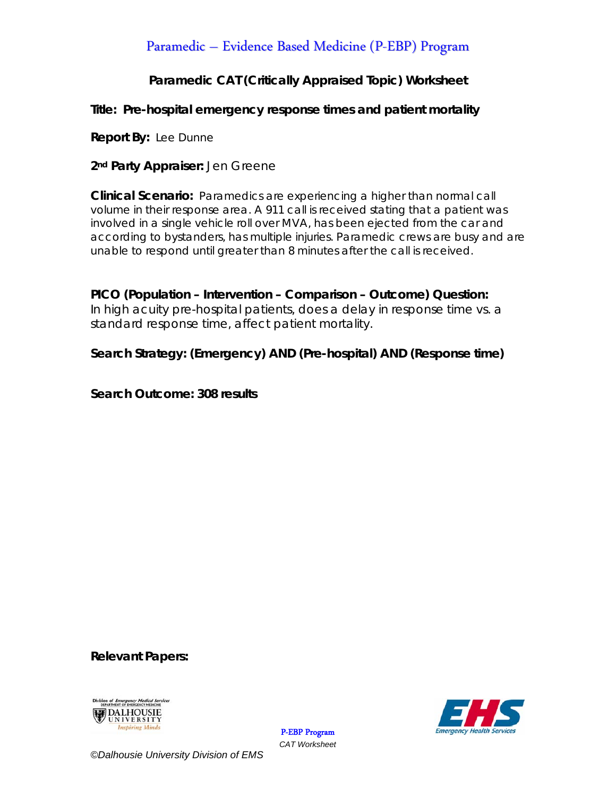# Paramedic – Evidence Based Medicine (P-EBP) Program

### **Paramedic CAT (Critically Appraised Topic) Worksheet**

### **Title: Pre-hospital emergency response times and patient mortality**

**Report By:** Lee Dunne

**2nd Party Appraiser:** Jen Greene

**Clinical Scenario:** Paramedics are experiencing a higher than normal call volume in their response area. A 911 call is received stating that a patient was involved in a single vehicle roll over MVA, has been ejected from the car and according to bystanders, has multiple injuries. Paramedic crews are busy and are unable to respond until greater than 8 minutes after the call is received.

**PICO (Population – Intervention – Comparison – Outcome) Question:**  In high acuity pre-hospital patients, does a delay in response time vs. a standard response time, affect patient mortality.

### **Search Strategy: (Emergency) AND (Pre-hospital) AND (Response time)**

**Search Outcome: 308 results** 

**Relevant Papers:** 





P-EBP Program *CAT Worksheet*